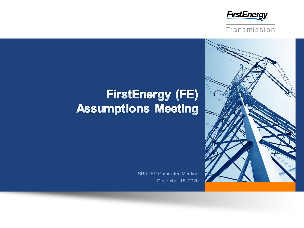





# **FirstEnergy (FE) Assumptions Meeting**

December 18, 2020 SRRTEP Committee Meeting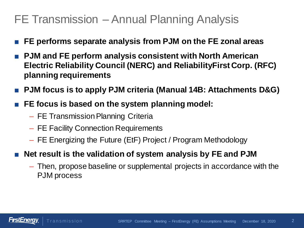## FE Transmission – Annual Planning Analysis

- **FE performs separate analysis from PJM on the FE zonal areas**
- **PJM and FE perform analysis consistent with North American Electric Reliability Council (NERC) and ReliabilityFirst Corp. (RFC) planning requirements**
- **PJM focus is to apply PJM criteria (Manual 14B: Attachments D&G)**
- **FE focus is based on the system planning model:** 
	- FE Transmission Planning Criteria
	- FE Facility Connection Requirements
	- FE Energizing the Future (EtF) Project / Program Methodology
- **Net result is the validation of system analysis by FE and PJM** 
	- Then, propose baseline or supplemental projects in accordance with the PJM process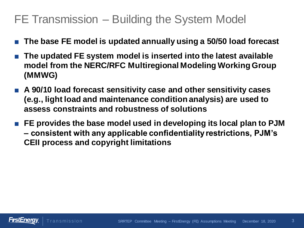# FE Transmission – Building the System Model

- **The base FE model is updated annually using a 50/50 load forecast**
- **The updated FE system model is inserted into the latest available model from the NERC/RFC Multiregional Modeling Working Group (MMWG)**
- A 90/10 load forecast sensitivity case and other sensitivity cases **(e.g., light load and maintenance condition analysis) are used to assess constraints and robustness of solutions**
- **FE provides the base model used in developing its local plan to PJM – consistent with any applicable confidentiality restrictions, PJM's CEII process and copyright limitations**

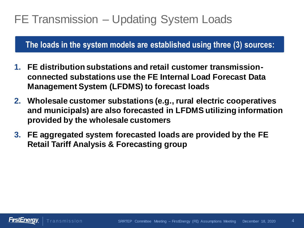# FE Transmission – Updating System Loads

**The loads in the system models are established using three (3) sources:**

- **1. FE distribution substations and retail customer transmissionconnected substations use the FE Internal Load Forecast Data Management System (LFDMS) to forecast loads**
- **2. Wholesale customer substations (e.g., rural electric cooperatives and municipals) are also forecasted in LFDMS utilizing information provided by the wholesale customers**
- **3. FE aggregated system forecasted loads are provided by the FE Retail Tariff Analysis & Forecasting group**

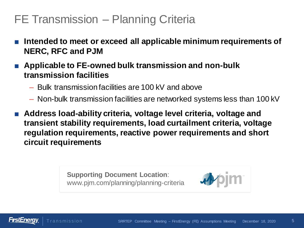# FE Transmission – Planning Criteria

- Intended to meet or exceed all applicable minimum requirements of **NERC, RFC and PJM**
- Applicable to FE-owned bulk transmission and non-bulk **transmission facilities**
	- Bulk transmission facilities are 100 kV and above
	- Non-bulk transmission facilities are networked systems less than 100 kV
- **Address load-ability criteria, voltage level criteria, voltage and transient stability requirements, load curtailment criteria, voltage regulation requirements, reactive power requirements and short circuit requirements**

**Supporting Document Location**: www.pjm.com/planning/planning-criteria



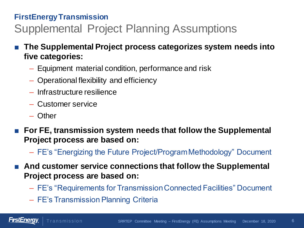## **FirstEnergy Transmission** Supplemental Project Planning Assumptions

- **The Supplemental Project process categorizes system needs into five categories:**
	- Equipment material condition, performance and risk
	- Operational flexibility and efficiency
	- Infrastructure resilience
	- Customer service

**Transmission** 

– Other

**FirstEnergy** 

- **For FE, transmission system needs that follow the Supplemental Project process are based on:** 
	- FE's "Energizing the Future Project/Program Methodology" Document
- And customer service connections that follow the Supplemental **Project process are based on:**
	- FE's "Requirements for Transmission Connected Facilities" Document
	- FE's Transmission Planning Criteria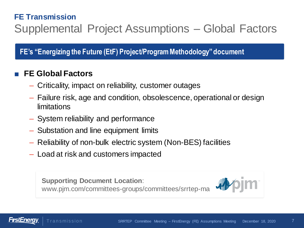## **FE Transmission** Supplemental Project Assumptions – Global Factors

**FE's "Energizing the Future (EtF) Project/Program Methodology" document**

## ■ **FE Global Factors**

- Criticality, impact on reliability, customer outages
- Failure risk, age and condition, obsolescence, operational or design limitations
- System reliability and performance
- Substation and line equipment limits
- Reliability of non-bulk electric system (Non-BES) facilities
- Load at risk and customers impacted

**Supporting Document Location**: www.pjm.com/committees-groups/committees/srrtep-ma



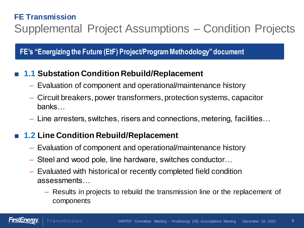## **FE Transmission** Supplemental Project Assumptions – Condition Projects

**FE's "Energizing the Future (EtF) Project/Program Methodology" document**

## **1.1 Substation Condition Rebuild/Replacement**

- Evaluation of component and operational/maintenance history
- Circuit breakers, power transformers, protection systems, capacitor banks…
- Line arresters, switches, risers and connections, metering, facilities…

## ■ **1.2** Line Condition Rebuild/Replacement

- Evaluation of component and operational/maintenance history
- Steel and wood pole, line hardware, switches conductor…
- Evaluated with historical or recently completed field condition assessments…
	- Results in projects to rebuild the transmission line or the replacement of components

*FIIS[Energy*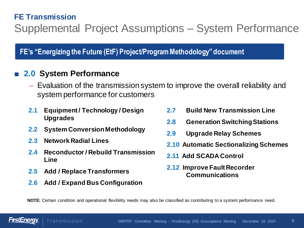## **FE Transmission** Supplemental Project Assumptions – System Performance

**FE's "Energizing the Future (EtF) Project/Program Methodology" document**

#### ■ **2.0 System Performance**

- Evaluation of the transmission system to improve the overall reliability and system performance for customers
- **2.1 Equipment / Technology / Design Upgrades**
- **2.2 System Conversion Methodology**
- **2.3 Network Radial Lines**
- **2.4 Reconductor / Rebuild Transmission Line**
- **2.5 Add / Replace Transformers**
- **2.6 Add / Expand Bus Configuration**
- **2.7 Build New Transmission Line**
- **2.8 Generation Switching Stations**
- **2.9 Upgrade Relay Schemes**
- **2.10 Automatic Sectionalizing Schemes**
- **2.11 Add SCADA Control**
- **2.12 Improve Fault Recorder Communications**

**NOTE:** Certain condition and operational flexibility needs may also be classified as contributing to a system performance need.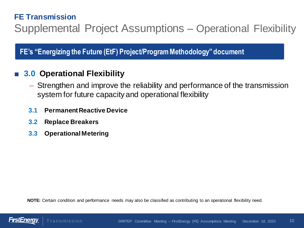## **FE Transmission** Supplemental Project Assumptions – Operational Flexibility

**FE's "Energizing the Future (EtF) Project/Program Methodology" document**

## **3.0 Operational Flexibility**

- Strengthen and improve the reliability and performance of the transmission system for future capacity and operational flexibility
- **3.1 Permanent Reactive Device**
- **3.2 Replace Breakers**
- **3.3 Operational Metering**

**NOTE:** Certain condition and performance needs may also be classified as contributing to an operational flexibility need.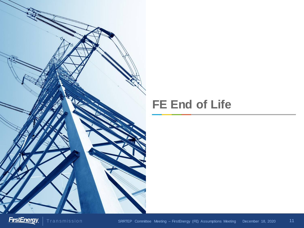

## **FE End of Life**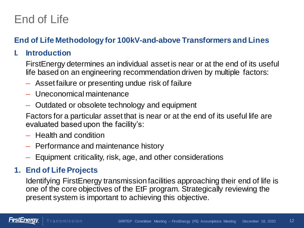## **End of Life Methodology for 100kV-and-above Transformers and Lines**

## **I. Introduction**

FirstEnergy determines an individual asset is near or at the end of its useful life based on an engineering recommendation driven by multiple factors:

- Asset failure or presenting undue risk of failure
- Uneconomical maintenance
- Outdated or obsolete technology and equipment

Factors for a particular asset that is near or at the end of its useful life are evaluated based upon the facility's:

- Health and condition
- Performance and maintenance history
- Equipment criticality, risk, age, and other considerations

## **1. End of Life Projects**

Identifying FirstEnergy transmission facilities approaching their end of life is one of the core objectives of the EtF program. Strategically reviewing the present system is important to achieving this objective.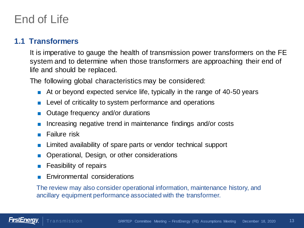#### **1.1 Transformers**

It is imperative to gauge the health of transmission power transformers on the FE system and to determine when those transformers are approaching their end of life and should be replaced.

The following global characteristics may be considered:

- At or beyond expected service life, typically in the range of 40-50 years
- Level of criticality to system performance and operations
- Outage frequency and/or durations
- Increasing negative trend in maintenance findings and/or costs
- Failure risk
- Limited availability of spare parts or vendor technical support
- Operational, Design, or other considerations
- **Feasibility of repairs**
- Environmental considerations

The review may also consider operational information, maintenance history, and ancillary equipment performance associated with the transformer.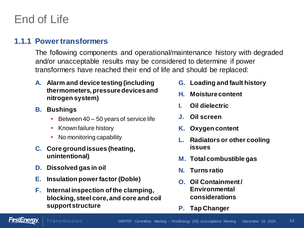#### **1.1.1 Power transformers**

The following components and operational/maintenance history with degraded and/or unacceptable results may be considered to determine if power transformers have reached their end of life and should be replaced:

- **A. Alarm and device testing (including thermometers, pressure devices and nitrogen system)**
- **B. Bushings**
	- Between 40 50 years of service life
	- **Known failure history**
	- No monitoring capability
- **C. Core ground issues (heating, unintentional)**
- **D. Dissolved gas in oil**
- **E. Insulation power factor (Doble)**
- **F. Internal inspection of the clamping, blocking, steel core, and core and coil support structure**
- **G. Loading and fault history**
- **H. Moisture content**
- **I. Oil dielectric**
- **J. Oil screen**
- **K. Oxygen content**
- **L. Radiators or other cooling issues**
- **M. Total combustible gas**
- **N. Turns ratio**
- **O. Oil Containment / Environmental considerations**
- **P. Tap Changer**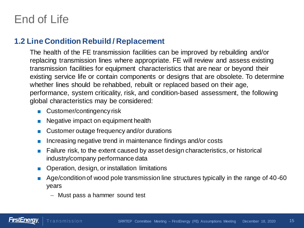#### **1.2 Line Condition Rebuild / Replacement**

The health of the FE transmission facilities can be improved by rebuilding and/or replacing transmission lines where appropriate. FE will review and assess existing transmission facilities for equipment characteristics that are near or beyond their existing service life or contain components or designs that are obsolete. To determine whether lines should be rehabbed, rebuilt or replaced based on their age, performance, system criticality, risk, and condition-based assessment, the following global characteristics may be considered:

- Customer/contingency risk
- Negative impact on equipment health
- Customer outage frequency and/or durations
- Increasing negative trend in maintenance findings and/or costs
- Failure risk, to the extent caused by asset design characteristics, or historical industry/company performance data
- Operation, design, or installation limitations
- Age/condition of wood pole transmission line structures typically in the range of 40-60 years
	- Must pass a hammer sound test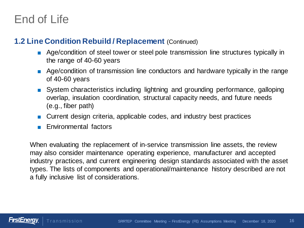#### **1.2 Line Condition Rebuild / Replacement** (Continued)

- Age/condition of steel tower or steel pole transmission line structures typically in the range of 40-60 years
- Age/condition of transmission line conductors and hardware typically in the range of 40-60 years
- System characteristics including lightning and grounding performance, galloping overlap, insulation coordination, structural capacity needs, and future needs (e.g., fiber path)
- Current design criteria, applicable codes, and industry best practices
- Environmental factors

When evaluating the replacement of in-service transmission line assets, the review may also consider maintenance operating experience, manufacturer and accepted industry practices, and current engineering design standards associated with the asset types. The lists of components and operational/maintenance history described are not a fully inclusive list of considerations.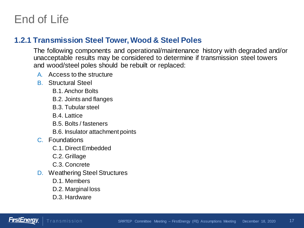#### **1.2.1 Transmission Steel Tower, Wood & Steel Poles**

The following components and operational/maintenance history with degraded and/or unacceptable results may be considered to determine if transmission steel towers and wood/steel poles should be rebuilt or replaced:

- A. Access to the structure
- B. Structural Steel
	- B.1. Anchor Bolts
	- B.2. Joints and flanges
	- B.3. Tubular steel
	- B.4. Lattice
	- B.5. Bolts / fasteners
	- B.6. Insulator attachment points
- C. Foundations
	- C.1. Direct Embedded
	- C.2. Grillage
	- C.3. Concrete
- D. Weathering Steel Structures
	- D.1. Members
	- D.2. Marginal loss
	- D.3. Hardware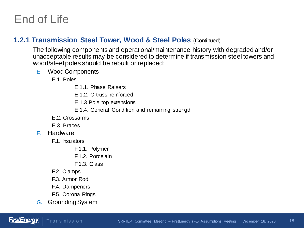#### **1.2.1 Transmission Steel Tower, Wood & Steel Poles** (Continued)

The following components and operational/maintenance history with degraded and/or unacceptable results may be considered to determine if transmission steel towers and wood/steel poles should be rebuilt or replaced:

E. Wood Components

E.1. Poles

- E.1.1. Phase Raisers
- E.1.2. C-truss reinforced
- E.1.3 Pole top extensions
- E.1.4. General Condition and remaining strength
- E.2. Crossarms
- E.3. Braces
- F. Hardware
	- F.1. Insulators
		- F.1.1. Polymer
		- F.1.2. Porcelain
		- F.1.3. Glass
	- F.2. Clamps
	- F.3. Armor Rod
	- F.4. Dampeners
	- F.5. Corona Rings
- G. Grounding System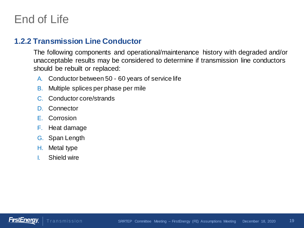#### **1.2.2 Transmission Line Conductor**

The following components and operational/maintenance history with degraded and/or unacceptable results may be considered to determine if transmission line conductors should be rebuilt or replaced:

- A. Conductor between 50 60 years of service life
- B. Multiple splices per phase per mile
- C. Conductor core/strands
- D. Connector
- E. Corrosion
- F. Heat damage
- G. Span Length
- H. Metal type
- I. Shield wire

**Transmission** 

FirstEnera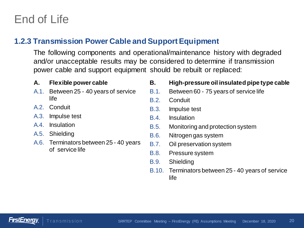#### **1.2.3 Transmission Power Cable and Support Equipment**

The following components and operational/maintenance history with degraded and/or unacceptable results may be considered to determine if transmission power cable and support equipment should be rebuilt or replaced:

#### **A. Flexible power cable**

- A.1. Between 25 40 years of service life
- A.2. Conduit
- A.3. Impulse test
- A.4. Insulation
- A.5. Shielding
- A.6. Terminators between 25 40 years of service life

#### **B. High-pressure oil insulated pipe type cable**

- B.1. Between 60 75 years of service life
- B.2. Conduit
- B.3. Impulse test
- B.4. Insulation
- B.5. Monitoring and protection system
- B.6. Nitrogen gas system
- B.7. Oil preservation system
- B.8. Pressure system
- B.9. Shielding
- B.10. Terminators between 25 40 years of service life